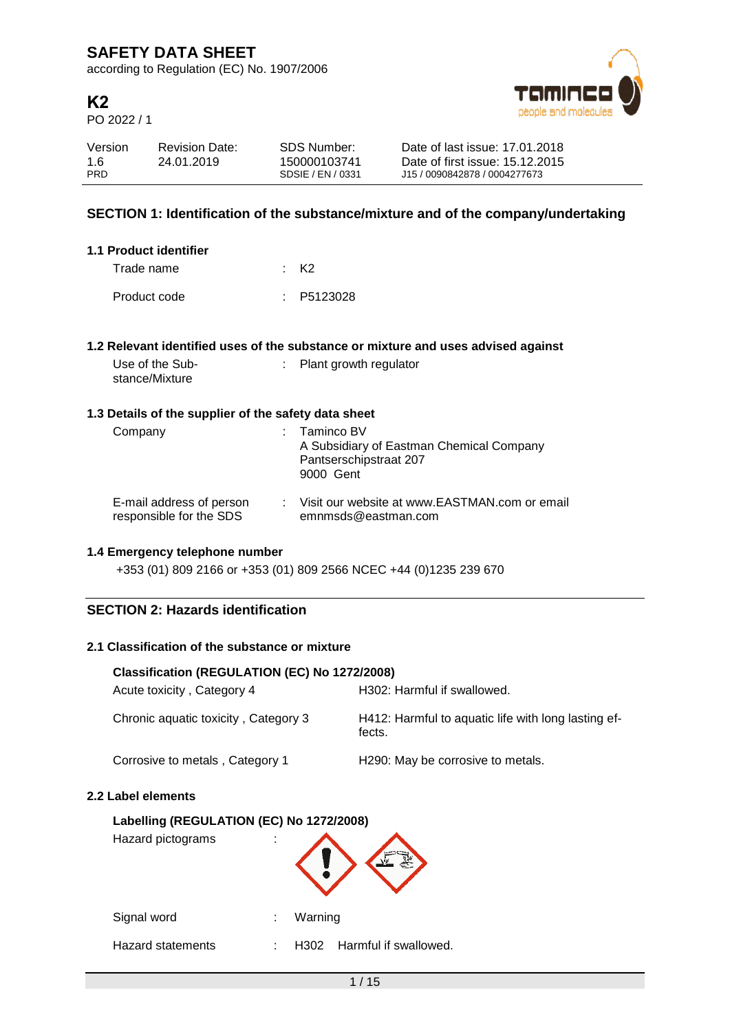according to Regulation (EC) No. 1907/2006

# **K2**

PO 2022 / 1



| Version    | <b>Revision Date:</b> | SDS Number:       | Date of last issue: 17.01.2018  |
|------------|-----------------------|-------------------|---------------------------------|
| 1.6        | 24.01.2019            | 150000103741      | Date of first issue: 15.12.2015 |
| <b>PRD</b> |                       | SDSIF / FN / 0331 | J15 / 0090842878 / 0004277673   |

# **SECTION 1: Identification of the substance/mixture and of the company/undertaking**

| 1.1 Product identifier |            |
|------------------------|------------|
| Trade name             | · кэ       |
| Product code           | : P5123028 |

### **1.2 Relevant identified uses of the substance or mixture and uses advised against**

Use of the Substance/Mixture : Plant growth regulator

### **1.3 Details of the supplier of the safety data sheet**

| Company                                             | $:$ Taminco BV<br>A Subsidiary of Eastman Chemical Company<br>Pantserschipstraat 207<br>9000 Gent |
|-----------------------------------------------------|---------------------------------------------------------------------------------------------------|
| E-mail address of person<br>responsible for the SDS | : Visit our website at www.EASTMAN.com or email<br>emnmsds@eastman.com                            |

### **1.4 Emergency telephone number**

+353 (01) 809 2166 or +353 (01) 809 2566 NCEC +44 (0)1235 239 670

## **SECTION 2: Hazards identification**

## **2.1 Classification of the substance or mixture**

| Classification (REGULATION (EC) No 1272/2008) |                                                               |  |  |  |
|-----------------------------------------------|---------------------------------------------------------------|--|--|--|
| Acute toxicity, Category 4                    | H302: Harmful if swallowed.                                   |  |  |  |
| Chronic aquatic toxicity, Category 3          | H412: Harmful to aquatic life with long lasting ef-<br>fects. |  |  |  |
| Corrosive to metals, Category 1               | H <sub>290</sub> : May be corrosive to metals.                |  |  |  |

#### **2.2 Label elements**

# **Labelling (REGULATION (EC) No 1272/2008)**

| Labelling (REGULATION (EC) No 1272/2008)<br>Hazard pictograms | ٠  |                               |
|---------------------------------------------------------------|----|-------------------------------|
| Signal word                                                   | İ. | Warning                       |
| <b>Hazard statements</b>                                      |    | Harmful if swallowed.<br>H302 |
|                                                               |    |                               |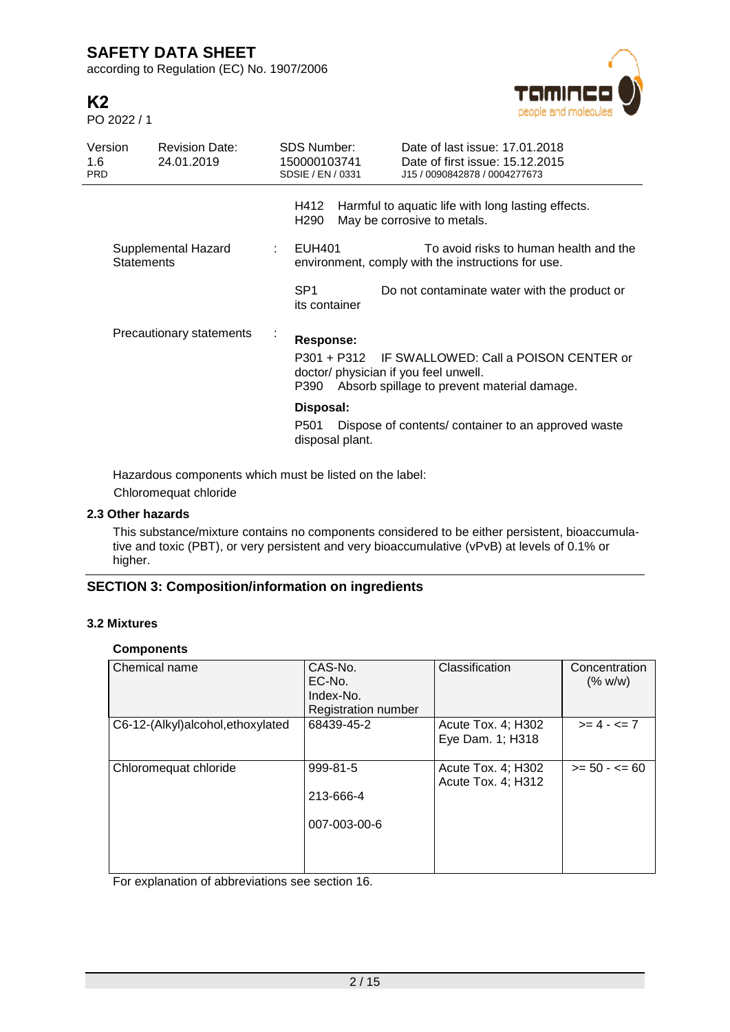according to Regulation (EC) No. 1907/2006

| K2          |  |
|-------------|--|
| PO 2022 / 1 |  |



| Version<br>1.6<br><b>PRD</b>             | <b>Revision Date:</b><br>24.01.2019 |                 | <b>SDS Number:</b><br>150000103741<br>SDSIE / EN / 0331                                                                                                        |  | Date of last issue: 17.01.2018<br>Date of first issue: 15.12.2015<br>J15 / 0090842878 / 0004277673 |
|------------------------------------------|-------------------------------------|-----------------|----------------------------------------------------------------------------------------------------------------------------------------------------------------|--|----------------------------------------------------------------------------------------------------|
|                                          |                                     |                 | H412<br>H290                                                                                                                                                   |  | Harmful to aquatic life with long lasting effects.<br>May be corrosive to metals.                  |
| Supplemental Hazard<br><b>Statements</b> |                                     | ÷               | EUH401                                                                                                                                                         |  | To avoid risks to human health and the<br>environment, comply with the instructions for use.       |
|                                          |                                     | SP <sub>1</sub> | its container                                                                                                                                                  |  | Do not contaminate water with the product or                                                       |
| Precautionary statements                 |                                     | $\blacksquare$  | Response:<br>P301 + P312 IF SWALLOWED: Call a POISON CENTER or<br>doctor/ physician if you feel unwell.<br>Absorb spillage to prevent material damage.<br>P390 |  |                                                                                                    |
|                                          |                                     |                 | Disposal:<br>P501<br>disposal plant.                                                                                                                           |  | Dispose of contents/container to an approved waste                                                 |

Hazardous components which must be listed on the label: Chloromequat chloride

# **2.3 Other hazards**

This substance/mixture contains no components considered to be either persistent, bioaccumulative and toxic (PBT), or very persistent and very bioaccumulative (vPvB) at levels of 0.1% or higher.

# **SECTION 3: Composition/information on ingredients**

### **3.2 Mixtures**

### **Components**

| Chemical name                     | CAS-No.<br>EC-No.<br>Index-No.<br>Registration number | Classification                           | Concentration<br>(% w/w) |
|-----------------------------------|-------------------------------------------------------|------------------------------------------|--------------------------|
| C6-12-(Alkyl)alcohol, ethoxylated | 68439-45-2                                            | Acute Tox. 4; H302<br>Eye Dam. 1; H318   | $>= 4 - 5 = 7$           |
| Chloromequat chloride             | 999-81-5<br>213-666-4<br>007-003-00-6                 | Acute Tox. 4; H302<br>Acute Tox. 4; H312 | $>= 50 - 50 = 60$        |

For explanation of abbreviations see section 16.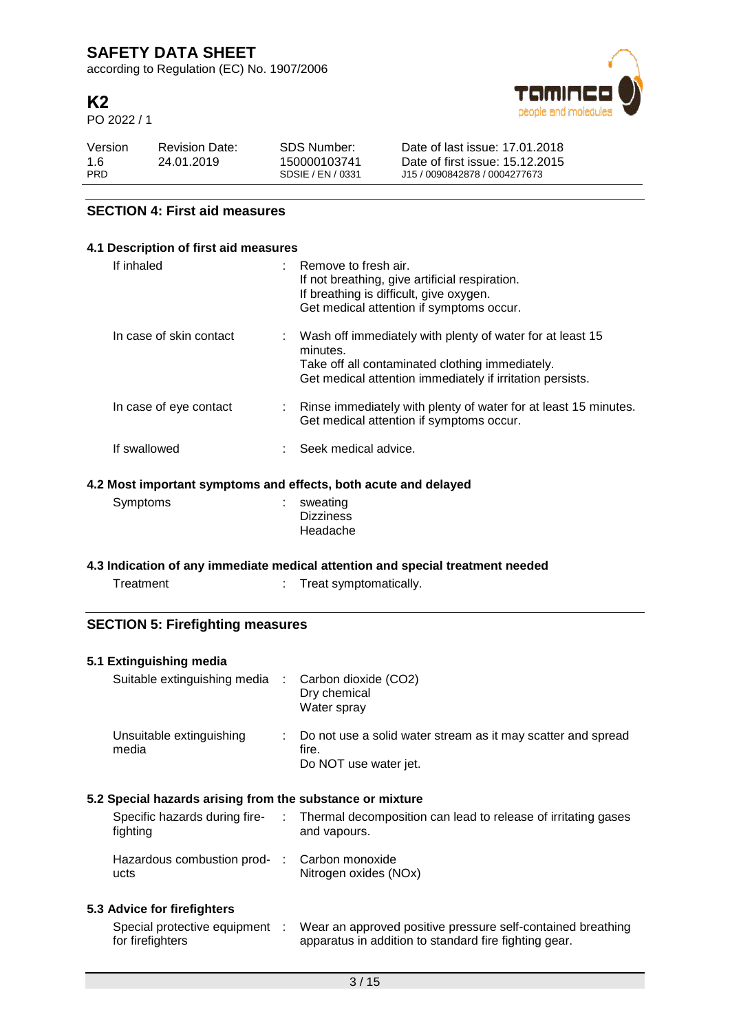according to Regulation (EC) No. 1907/2006

# **K2**

PO 2022 / 1



| Version    | <b>Revision Date:</b> | SDS Number:       | Date of last issue: 17.01.2018  |
|------------|-----------------------|-------------------|---------------------------------|
| 1.6        | 24.01.2019            | 150000103741      | Date of first issue: 15.12.2015 |
| <b>PRD</b> |                       | SDSIF / FN / 0331 | J15 / 0090842878 / 0004277673   |

# **SECTION 4: First aid measures**

## **4.1 Description of first aid measures**

| If inhaled                                                     | $:$ Remove to fresh air.<br>If not breathing, give artificial respiration.<br>If breathing is difficult, give oxygen.<br>Get medical attention if symptoms occur.                       |  |  |
|----------------------------------------------------------------|-----------------------------------------------------------------------------------------------------------------------------------------------------------------------------------------|--|--|
| In case of skin contact                                        | : Wash off immediately with plenty of water for at least 15<br>minutes.<br>Take off all contaminated clothing immediately.<br>Get medical attention immediately if irritation persists. |  |  |
| In case of eye contact                                         | : Rinse immediately with plenty of water for at least 15 minutes.<br>Get medical attention if symptoms occur.                                                                           |  |  |
| If swallowed                                                   | Seek medical advice.                                                                                                                                                                    |  |  |
| .2 Most important symptoms and effects, both acute and delayed |                                                                                                                                                                                         |  |  |

### **4.2 Most important symptoms and effects, both acute and delayed**

| Symptoms | $:$ sweating     |
|----------|------------------|
|          | <b>Dizziness</b> |
|          | Headache         |

## **4.3 Indication of any immediate medical attention and special treatment needed**

| Treatment | Treat symptomatically. |
|-----------|------------------------|
|           |                        |

# **SECTION 5: Firefighting measures**

## **5.1 Extinguishing media**

| Suitable extinguishing media : Carbon dioxide (CO2) | Dry chemical<br>Water spray                                                                      |
|-----------------------------------------------------|--------------------------------------------------------------------------------------------------|
| Unsuitable extinguishing<br>media                   | : Do not use a solid water stream as it may scatter and spread<br>fire.<br>Do NOT use water jet. |

# **5.2 Special hazards arising from the substance or mixture**

| Specific hazards during fire-<br>fighting            | Thermal decomposition can lead to release of irritating gases<br>and vapours. |
|------------------------------------------------------|-------------------------------------------------------------------------------|
| Hazardous combustion prod- : Carbon monoxide<br>ucts | Nitrogen oxides (NOx)                                                         |

## **5.3 Advice for firefighters**

| Special protective equipment | Wear an approved positive pressure self-contained breathing |
|------------------------------|-------------------------------------------------------------|
| for firefighters             | apparatus in addition to standard fire fighting gear.       |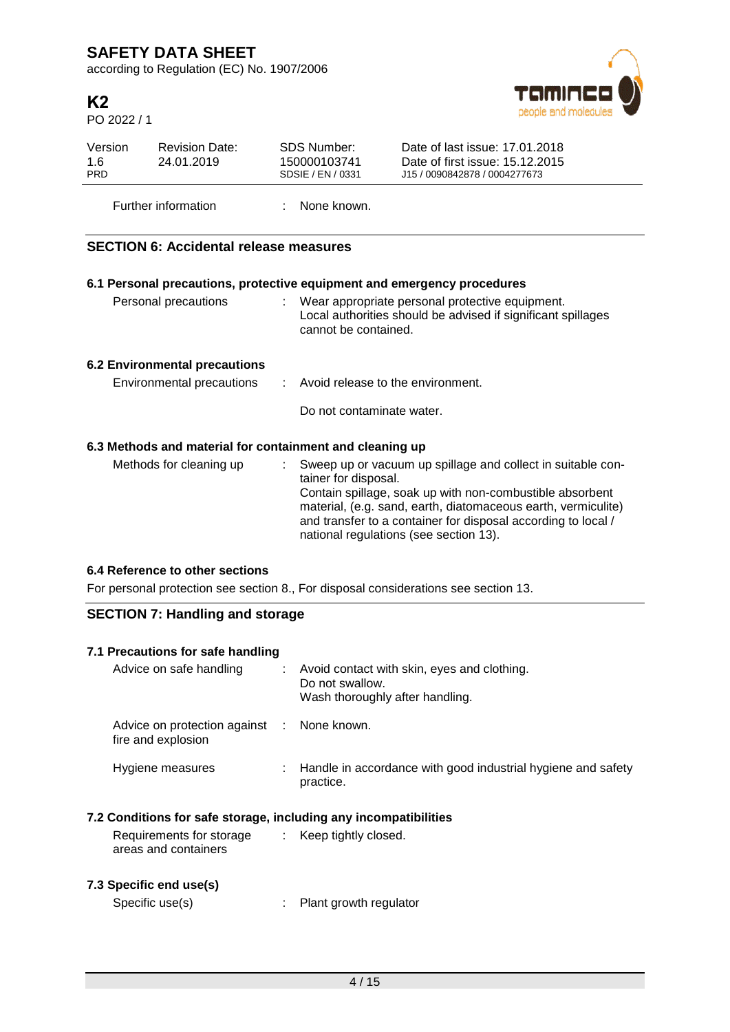according to Regulation (EC) No. 1907/2006

# **K2**

PO 2022 / 1



| Version<br>1.6<br><b>PRD</b> | <b>Revision Date:</b><br>24.01.2019                      |  | <b>SDS Number:</b><br>150000103741<br>SDSIE / EN / 0331                                                                                   | Date of last issue: 17.01.2018<br>Date of first issue: 15.12.2015<br>J15 / 0090842878 / 0004277673                                                                                                                                                                                                  |  |  |  |
|------------------------------|----------------------------------------------------------|--|-------------------------------------------------------------------------------------------------------------------------------------------|-----------------------------------------------------------------------------------------------------------------------------------------------------------------------------------------------------------------------------------------------------------------------------------------------------|--|--|--|
| Further information          |                                                          |  | None known.                                                                                                                               |                                                                                                                                                                                                                                                                                                     |  |  |  |
|                              | <b>SECTION 6: Accidental release measures</b>            |  |                                                                                                                                           |                                                                                                                                                                                                                                                                                                     |  |  |  |
|                              |                                                          |  |                                                                                                                                           | 6.1 Personal precautions, protective equipment and emergency procedures                                                                                                                                                                                                                             |  |  |  |
|                              | Personal precautions                                     |  | : Wear appropriate personal protective equipment.<br>Local authorities should be advised if significant spillages<br>cannot be contained. |                                                                                                                                                                                                                                                                                                     |  |  |  |
|                              | <b>6.2 Environmental precautions</b>                     |  |                                                                                                                                           |                                                                                                                                                                                                                                                                                                     |  |  |  |
| Environmental precautions    |                                                          |  | Avoid release to the environment.                                                                                                         |                                                                                                                                                                                                                                                                                                     |  |  |  |
|                              |                                                          |  | Do not contaminate water.                                                                                                                 |                                                                                                                                                                                                                                                                                                     |  |  |  |
|                              | 6.3 Methods and material for containment and cleaning up |  |                                                                                                                                           |                                                                                                                                                                                                                                                                                                     |  |  |  |
|                              | Methods for cleaning up                                  |  | tainer for disposal.                                                                                                                      | Sweep up or vacuum up spillage and collect in suitable con-<br>Contain spillage, soak up with non-combustible absorbent<br>material, (e.g. sand, earth, diatomaceous earth, vermiculite)<br>and transfer to a container for disposal according to local /<br>national regulations (see section 13). |  |  |  |

# **6.4 Reference to other sections**

For personal protection see section 8., For disposal considerations see section 13.

# **SECTION 7: Handling and storage**

| 7.1 Precautions for safe handling                                |    |                                                                                                   |
|------------------------------------------------------------------|----|---------------------------------------------------------------------------------------------------|
| Advice on safe handling                                          | ÷. | Avoid contact with skin, eyes and clothing.<br>Do not swallow.<br>Wash thoroughly after handling. |
| Advice on protection against : None known.<br>fire and explosion |    |                                                                                                   |
| Hygiene measures                                                 |    | : Handle in accordance with good industrial hygiene and safety<br>practice.                       |
| 7.2 Conditions for safe storage, including any incompatibilities |    |                                                                                                   |
| Requirements for storage<br>areas and containers                 |    | $\therefore$ Keep tightly closed.                                                                 |

# **7.3 Specific end use(s)**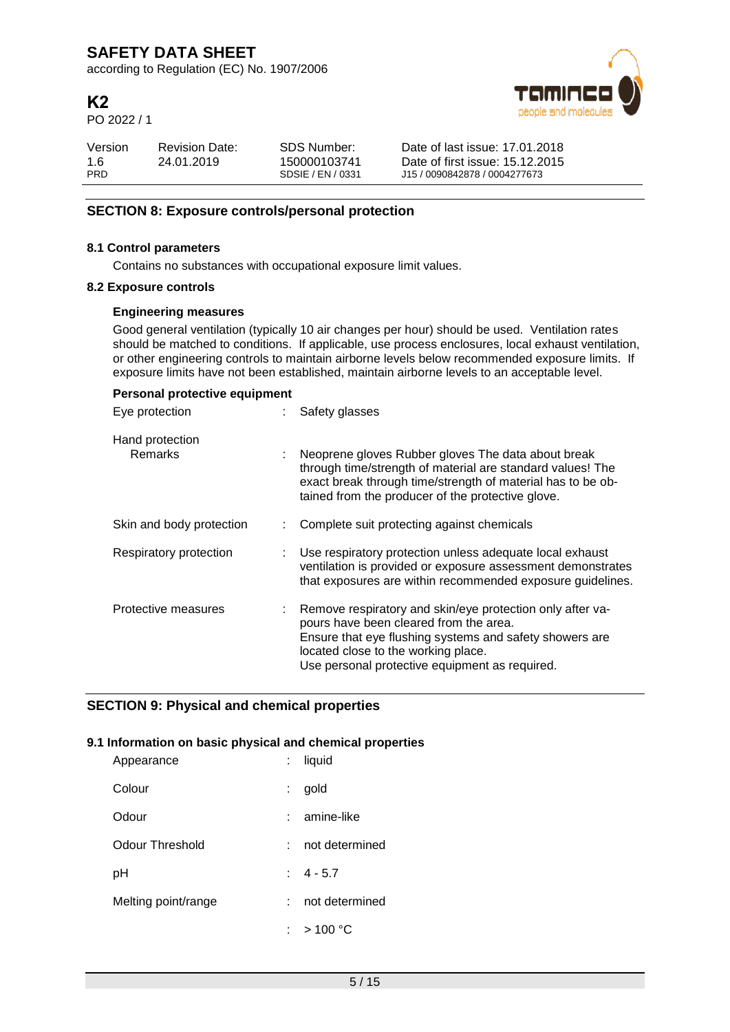according to Regulation (EC) No. 1907/2006

# **K2**

PO 2022 / 1



| Version           | <b>Revision Date:</b> | SDS Number:                       | Date of last issue: 17.01.2018                                   |
|-------------------|-----------------------|-----------------------------------|------------------------------------------------------------------|
| 1.6<br><b>PRD</b> | 24.01.2019            | 150000103741<br>SDSIE / EN / 0331 | Date of first issue: 15.12.2015<br>J15 / 0090842878 / 0004277673 |
|                   |                       |                                   |                                                                  |

## **SECTION 8: Exposure controls/personal protection**

### **8.1 Control parameters**

Contains no substances with occupational exposure limit values.

### **8.2 Exposure controls**

### **Engineering measures**

Good general ventilation (typically 10 air changes per hour) should be used. Ventilation rates should be matched to conditions. If applicable, use process enclosures, local exhaust ventilation, or other engineering controls to maintain airborne levels below recommended exposure limits. If exposure limits have not been established, maintain airborne levels to an acceptable level.

| Personal protective equipment     |  |                                                                                                                                                                                                                                                         |  |  |  |
|-----------------------------------|--|---------------------------------------------------------------------------------------------------------------------------------------------------------------------------------------------------------------------------------------------------------|--|--|--|
| Eye protection                    |  | Safety glasses                                                                                                                                                                                                                                          |  |  |  |
| Hand protection<br><b>Remarks</b> |  | Neoprene gloves Rubber gloves The data about break<br>through time/strength of material are standard values! The<br>exact break through time/strength of material has to be ob-<br>tained from the producer of the protective glove.                    |  |  |  |
| Skin and body protection          |  | Complete suit protecting against chemicals                                                                                                                                                                                                              |  |  |  |
| Respiratory protection            |  | Use respiratory protection unless adequate local exhaust<br>ventilation is provided or exposure assessment demonstrates<br>that exposures are within recommended exposure guidelines.                                                                   |  |  |  |
| Protective measures               |  | Remove respiratory and skin/eye protection only after va-<br>pours have been cleared from the area.<br>Ensure that eye flushing systems and safety showers are<br>located close to the working place.<br>Use personal protective equipment as required. |  |  |  |

### **SECTION 9: Physical and chemical properties**

### **9.1 Information on basic physical and chemical properties**

| Appearance          |    | : liquid                     |
|---------------------|----|------------------------------|
| Colour              | t. | gold                         |
| Odour               |    | amine-like                   |
| Odour Threshold     |    | not determined               |
| рH                  |    | $\pm 4 - 5.7$                |
| Melting point/range |    | not determined               |
|                     |    | : $>100\,^{\circ}\mathrm{C}$ |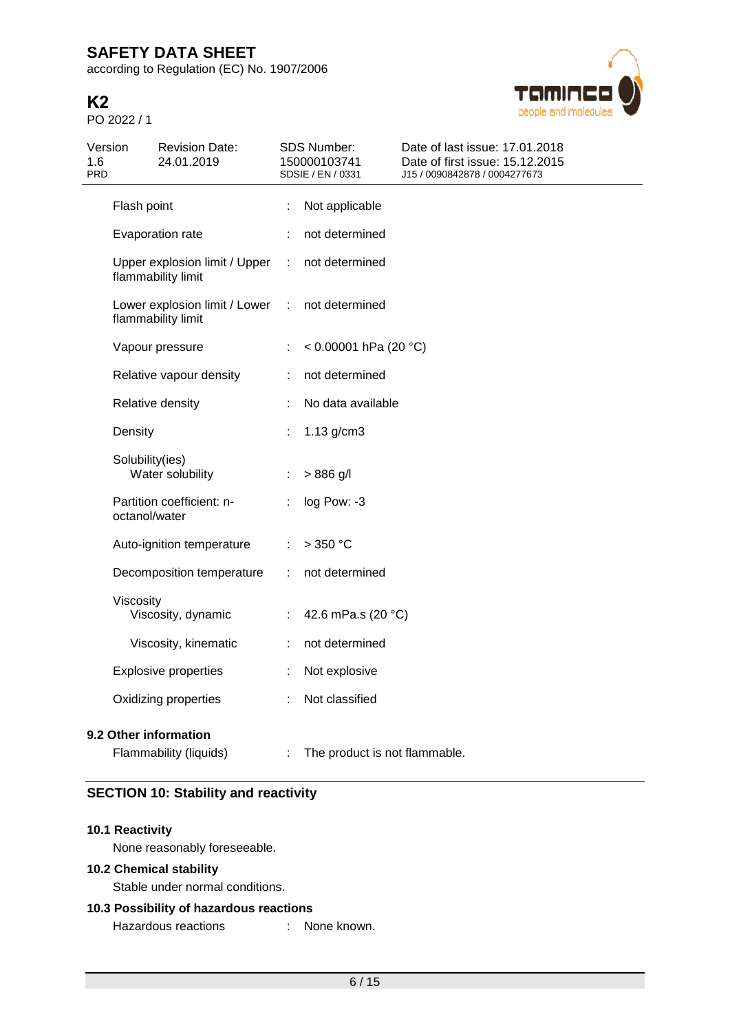according to Regulation (EC) No. 1907/2006

# **K2**

PO 2022 / 1



| Version<br>1.6<br><b>PRD</b> |                 | <b>Revision Date:</b><br>24.01.2019                 |   | SDS Number:<br>150000103741<br>SDSIE / EN / 0331 | Date of last issue: 17.01.2018<br>Date of first issue: 15.12.2015<br>J15 / 0090842878 / 0004277673 |
|------------------------------|-----------------|-----------------------------------------------------|---|--------------------------------------------------|----------------------------------------------------------------------------------------------------|
|                              | Flash point     |                                                     |   | Not applicable                                   |                                                                                                    |
|                              |                 | Evaporation rate                                    |   | not determined                                   |                                                                                                    |
|                              |                 | Upper explosion limit / Upper<br>flammability limit | ÷ | not determined                                   |                                                                                                    |
|                              |                 | Lower explosion limit / Lower<br>flammability limit | ÷ | not determined                                   |                                                                                                    |
|                              |                 | Vapour pressure                                     |   | < $0.00001$ hPa (20 °C)                          |                                                                                                    |
|                              |                 | Relative vapour density                             | ÷ | not determined                                   |                                                                                                    |
|                              |                 | Relative density                                    |   | No data available                                |                                                                                                    |
|                              | Density         |                                                     |   | $1.13$ g/cm $3$                                  |                                                                                                    |
|                              | Solubility(ies) | Water solubility                                    | ÷ | $> 886$ g/l                                      |                                                                                                    |
|                              | octanol/water   | Partition coefficient: n-                           |   | log Pow: -3                                      |                                                                                                    |
|                              |                 | Auto-ignition temperature                           |   | >350 °C                                          |                                                                                                    |
|                              |                 | Decomposition temperature                           |   | not determined                                   |                                                                                                    |
|                              | Viscosity       | Viscosity, dynamic                                  | ÷ | 42.6 mPa.s (20 °C)                               |                                                                                                    |
|                              |                 | Viscosity, kinematic                                | ÷ | not determined                                   |                                                                                                    |
|                              |                 | <b>Explosive properties</b>                         |   | Not explosive                                    |                                                                                                    |
|                              |                 | Oxidizing properties                                | ÷ | Not classified                                   |                                                                                                    |
|                              |                 | 9.2 Other information<br>Flammability (liquids)     |   | The product is not flammable.                    |                                                                                                    |

# **SECTION 10: Stability and reactivity**

### **10.1 Reactivity**

None reasonably foreseeable.

## **10.2 Chemical stability**

Stable under normal conditions.

## **10.3 Possibility of hazardous reactions**

Hazardous reactions : None known.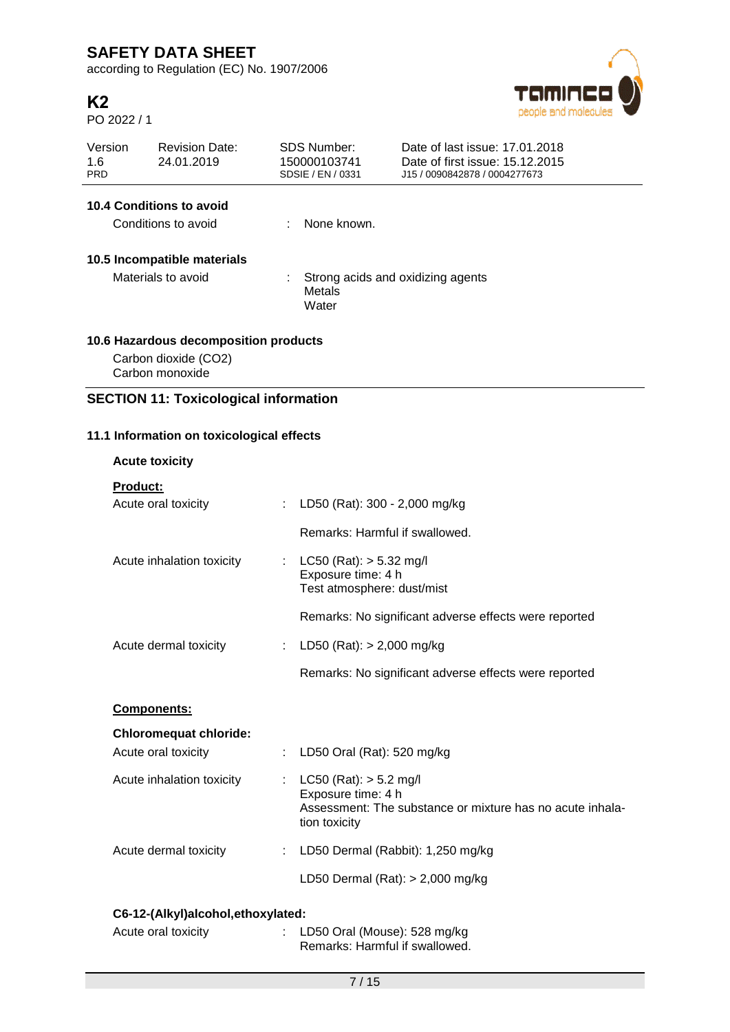according to Regulation (EC) No. 1907/2006

# **K2**

PO 2022 / 1



| Version<br>1.6<br><b>PRD</b> | <b>Revision Date:</b><br>24.01.2019          |                                                               | SDS Number:<br>150000103741<br>SDSIE / EN / 0331 | Date of last issue: 17.01.2018<br>Date of first issue: 15.12.2015<br>J15 / 0090842878 / 0004277673 |  |  |  |
|------------------------------|----------------------------------------------|---------------------------------------------------------------|--------------------------------------------------|----------------------------------------------------------------------------------------------------|--|--|--|
|                              | 10.4 Conditions to avoid                     |                                                               |                                                  |                                                                                                    |  |  |  |
|                              | Conditions to avoid                          |                                                               | None known.                                      |                                                                                                    |  |  |  |
|                              | 10.5 Incompatible materials                  |                                                               |                                                  |                                                                                                    |  |  |  |
|                              | Materials to avoid                           | : Strong acids and oxidizing agents<br><b>Metals</b><br>Water |                                                  |                                                                                                    |  |  |  |
|                              | 10.6 Hazardous decomposition products        |                                                               |                                                  |                                                                                                    |  |  |  |
|                              | Carbon dioxide (CO2)<br>Carbon monoxide      |                                                               |                                                  |                                                                                                    |  |  |  |
|                              | <b>SECTION 11: Toxicological information</b> |                                                               |                                                  |                                                                                                    |  |  |  |
|                              | 11.1 Information on toxicological effects    |                                                               |                                                  |                                                                                                    |  |  |  |
|                              | <b>Acute toxicity</b>                        |                                                               |                                                  |                                                                                                    |  |  |  |
| <b>Product:</b>              | Acute oral toxicity                          |                                                               | LD50 (Rat): 300 - 2,000 mg/kg                    |                                                                                                    |  |  |  |

|  | Remarks: Harmful if swallowed. |
|--|--------------------------------|
|  |                                |

- Acute inhalation toxicity : LC50 (Rat): > 5.32 mg/l Exposure time: 4 h Test atmosphere: dust/mist Remarks: No significant adverse effects were reported
- Acute dermal toxicity : LD50 (Rat): > 2,000 mg/kg

# **Components:**

| <b>Chloromequat chloride:</b> |                                                                                                                                  |
|-------------------------------|----------------------------------------------------------------------------------------------------------------------------------|
| Acute oral toxicity           | : LD50 Oral (Rat): 520 mg/kg                                                                                                     |
| Acute inhalation toxicity     | : $LC50$ (Rat): $> 5.2$ mg/l<br>Exposure time: 4 h<br>Assessment: The substance or mixture has no acute inhala-<br>tion toxicity |
| Acute dermal toxicity         | : LD50 Dermal (Rabbit): $1,250$ mg/kg                                                                                            |
|                               | LD50 Dermal $(Rat):$ > 2,000 mg/kg                                                                                               |

Remarks: No significant adverse effects were reported

# **C6-12-(Alkyl)alcohol,ethoxylated:**

| Acute oral toxicity | : LD50 Oral (Mouse): $528 \text{ mg/kg}$ |
|---------------------|------------------------------------------|
|                     | Remarks: Harmful if swallowed.           |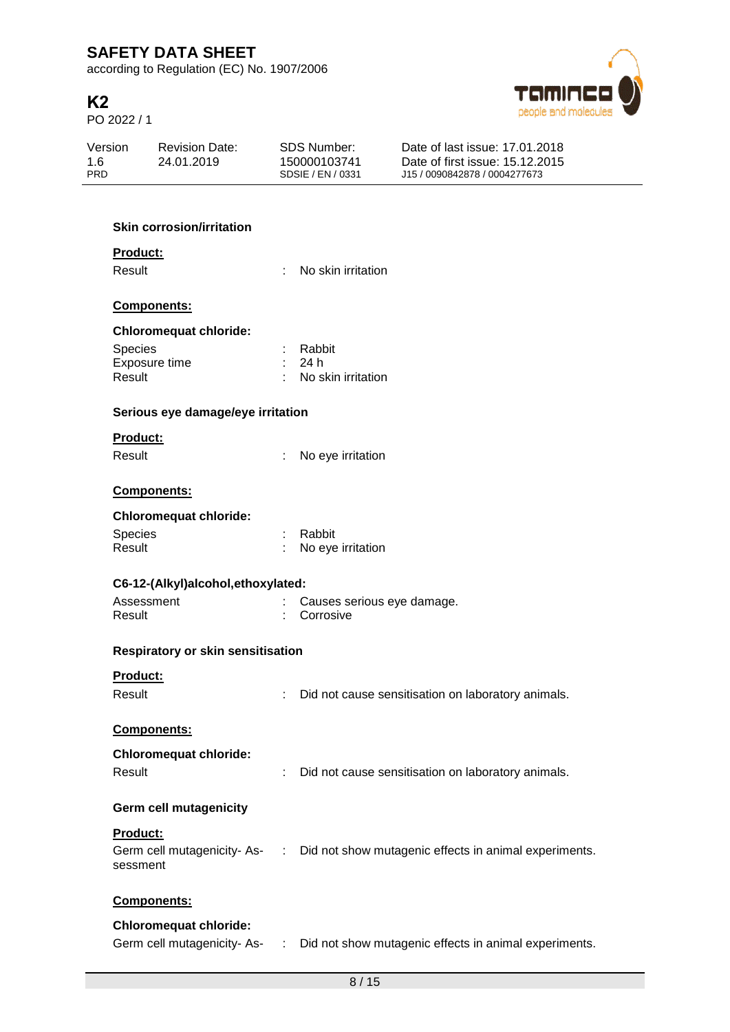according to Regulation (EC) No. 1907/2006

# **K2**

PO 2022 / 1



| Version    | <b>Revision Date:</b> | SDS Number:       | Date of last issue: 17.01.2018  |  |
|------------|-----------------------|-------------------|---------------------------------|--|
| 1.6        | 24.01.2019            | 150000103741      | Date of first issue: 15.12.2015 |  |
| <b>PRD</b> |                       | SDSIE / EN / 0331 | J15 / 0090842878 / 0004277673   |  |
|            |                       |                   |                                 |  |

## **Skin corrosion/irritation**

### **Product:**

Result : No skin irritation

### **Components:**

# **Chloromequat chloride:**

| <b>Species</b> | : Rabbit             |
|----------------|----------------------|
| Exposure time  | : 24 h               |
| Result         | : No skin irritation |

### **Serious eye damage/eye irritation**

## **Product:**

Result : No eye irritation

### **Components:**

## **Chloromequat chloride:**

| <b>Species</b> | : Rabbit            |
|----------------|---------------------|
| Result         | : No eye irritation |

| C6-12-(Alkyl)alcohol, ethoxylated: |  |                              |  |  |  |
|------------------------------------|--|------------------------------|--|--|--|
| Assessment                         |  | : Causes serious eye damage. |  |  |  |
| Result                             |  | : Corrosive                  |  |  |  |

### **Respiratory or skin sensitisation**

### **Product:**

Result : Did not cause sensitisation on laboratory animals.

## **Components:**

## **Chloromequat chloride:**

| Result |  | Did not cause sensitisation on laboratory animals. |  |  |
|--------|--|----------------------------------------------------|--|--|
|--------|--|----------------------------------------------------|--|--|

### **Germ cell mutagenicity**

### **Product:**

| Germ cell mutagenicity-As- | : Did not show mutagenic effects in animal experiments. |
|----------------------------|---------------------------------------------------------|
| sessment                   |                                                         |

### **Components:**

## **Chloromequat chloride:**

Germ cell mutagenicity- As- : Did not show mutagenic effects in animal experiments.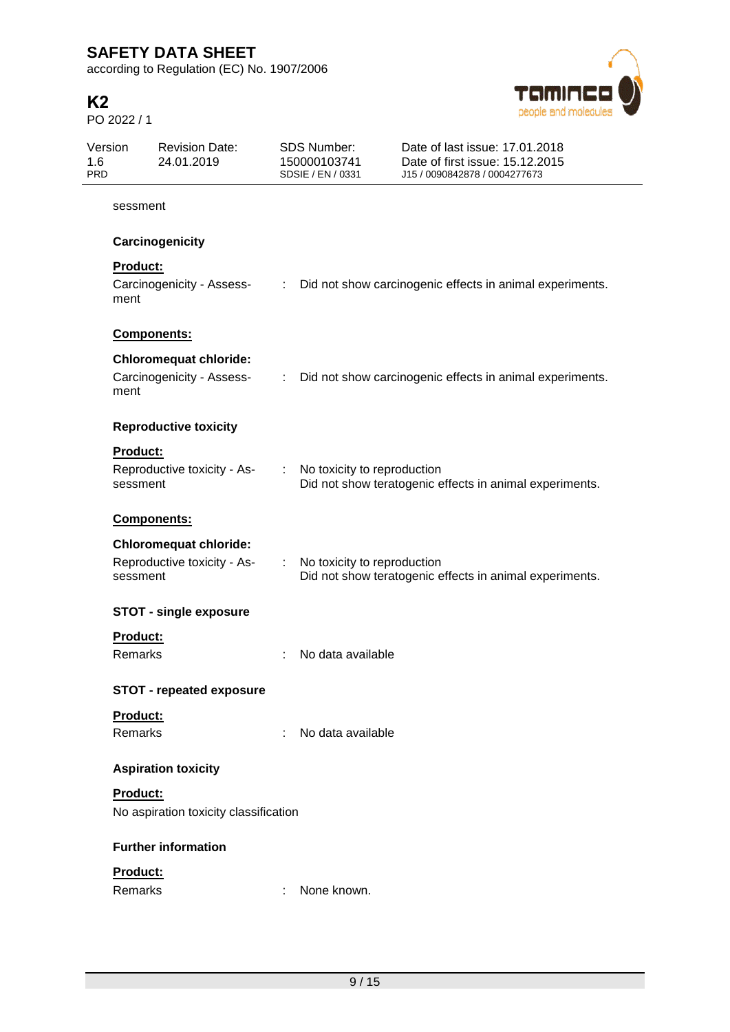according to Regulation (EC) No. 1907/2006

# **K2**

PO 2022 / 1



| Version<br>1.6<br><b>PRD</b> |                      | <b>Revision Date:</b><br>24.01.2019                          |    | <b>SDS Number:</b><br>150000103741<br>SDSIE / EN / 0331 | Date of last issue: 17.01.2018<br>Date of first issue: 15.12.2015<br>J15 / 0090842878 / 0004277673 |
|------------------------------|----------------------|--------------------------------------------------------------|----|---------------------------------------------------------|----------------------------------------------------------------------------------------------------|
|                              | sessment             |                                                              |    |                                                         |                                                                                                    |
|                              |                      | Carcinogenicity                                              |    |                                                         |                                                                                                    |
|                              | Product:<br>ment     | Carcinogenicity - Assess-                                    |    |                                                         | : Did not show carcinogenic effects in animal experiments.                                         |
|                              | Components:          |                                                              |    |                                                         |                                                                                                    |
|                              | ment                 | <b>Chloromequat chloride:</b><br>Carcinogenicity - Assess-   | ÷  |                                                         | Did not show carcinogenic effects in animal experiments.                                           |
|                              |                      | <b>Reproductive toxicity</b>                                 |    |                                                         |                                                                                                    |
|                              | Product:<br>sessment | Reproductive toxicity - As-                                  |    | : No toxicity to reproduction                           | Did not show teratogenic effects in animal experiments.                                            |
|                              | <b>Components:</b>   |                                                              |    |                                                         |                                                                                                    |
|                              | sessment             | <b>Chloromequat chloride:</b><br>Reproductive toxicity - As- | ÷. | No toxicity to reproduction                             | Did not show teratogenic effects in animal experiments.                                            |
|                              |                      | <b>STOT - single exposure</b>                                |    |                                                         |                                                                                                    |
|                              | Product:<br>Remarks  |                                                              |    | No data available                                       |                                                                                                    |
|                              |                      | <b>STOT - repeated exposure</b>                              |    |                                                         |                                                                                                    |
|                              | Product:<br>Remarks  |                                                              | ÷  | No data available                                       |                                                                                                    |
|                              |                      | <b>Aspiration toxicity</b>                                   |    |                                                         |                                                                                                    |
|                              | <b>Product:</b>      | No aspiration toxicity classification                        |    |                                                         |                                                                                                    |
|                              |                      | <b>Further information</b>                                   |    |                                                         |                                                                                                    |
|                              | Product:<br>Remarks  |                                                              |    | None known.                                             |                                                                                                    |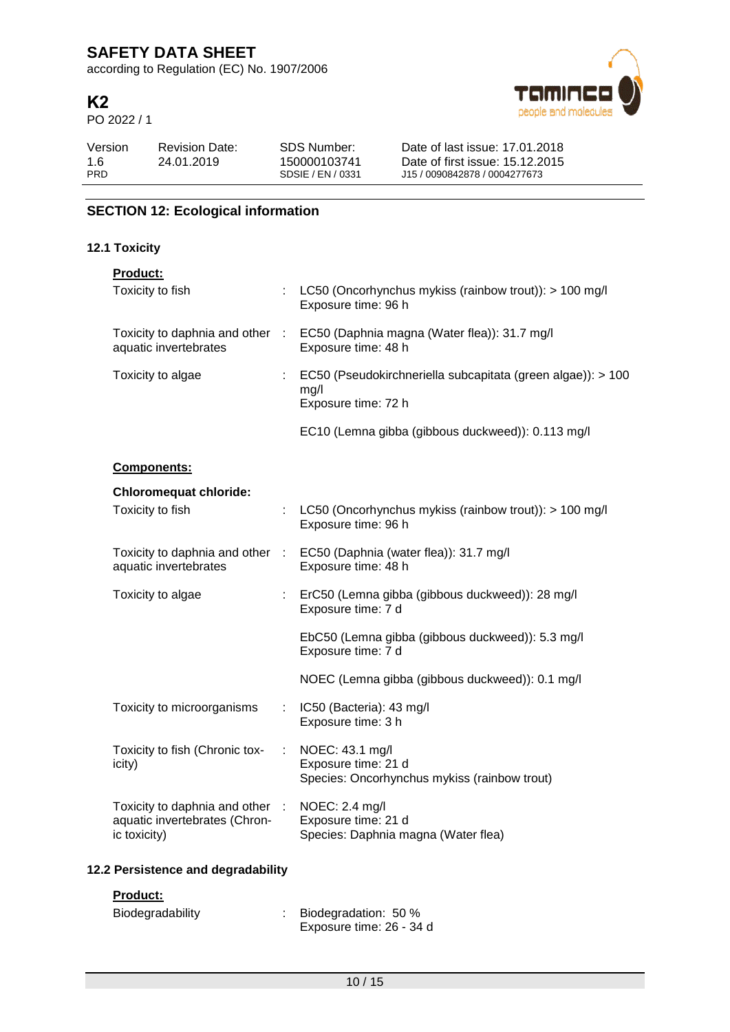according to Regulation (EC) No. 1907/2006

# **K2**

PO 2022 / 1



| Version    | <b>Revision Date:</b> | SDS Number:       | Date of last issue: 17.01.2018  |
|------------|-----------------------|-------------------|---------------------------------|
| 1.6        | 24.01.2019            | 150000103741      | Date of first issue: 15.12.2015 |
| <b>PRD</b> |                       | SDSIE / EN / 0331 | J15 / 0090842878 / 0004277673   |

# **SECTION 12: Ecological information**

## **12.1 Toxicity**

| <b>Product:</b>                                                                  |                                                                                            |
|----------------------------------------------------------------------------------|--------------------------------------------------------------------------------------------|
| Toxicity to fish                                                                 | LC50 (Oncorhynchus mykiss (rainbow trout)): > 100 mg/l<br>Exposure time: 96 h              |
| Toxicity to daphnia and other :<br>aquatic invertebrates                         | EC50 (Daphnia magna (Water flea)): 31.7 mg/l<br>Exposure time: 48 h                        |
| Toxicity to algae                                                                | EC50 (Pseudokirchneriella subcapitata (green algae)): > 100<br>mg/l<br>Exposure time: 72 h |
|                                                                                  | EC10 (Lemna gibba (gibbous duckweed)): 0.113 mg/l                                          |
| Components:                                                                      |                                                                                            |
| <b>Chloromequat chloride:</b>                                                    |                                                                                            |
| Toxicity to fish                                                                 | LC50 (Oncorhynchus mykiss (rainbow trout)): > 100 mg/l<br>Exposure time: 96 h              |
| Toxicity to daphnia and other :<br>aquatic invertebrates                         | EC50 (Daphnia (water flea)): 31.7 mg/l<br>Exposure time: 48 h                              |
| Toxicity to algae                                                                | : ErC50 (Lemna gibba (gibbous duckweed)): 28 mg/l<br>Exposure time: 7 d                    |
|                                                                                  | EbC50 (Lemna gibba (gibbous duckweed)): 5.3 mg/l<br>Exposure time: 7 d                     |
|                                                                                  | NOEC (Lemna gibba (gibbous duckweed)): 0.1 mg/l                                            |
| Toxicity to microorganisms                                                       | IC50 (Bacteria): 43 mg/l<br>Exposure time: 3 h                                             |
| Toxicity to fish (Chronic tox-<br>icity)                                         | NOEC: 43.1 mg/l<br>Exposure time: 21 d<br>Species: Oncorhynchus mykiss (rainbow trout)     |
| Toxicity to daphnia and other :<br>aquatic invertebrates (Chron-<br>ic toxicity) | NOEC: 2.4 mg/l<br>Exposure time: 21 d<br>Species: Daphnia magna (Water flea)               |
|                                                                                  |                                                                                            |

# **12.2 Persistence and degradability**

### **Product:**

| Biodegradability | Biodegradation: 50 %     |
|------------------|--------------------------|
|                  | Exposure time: 26 - 34 d |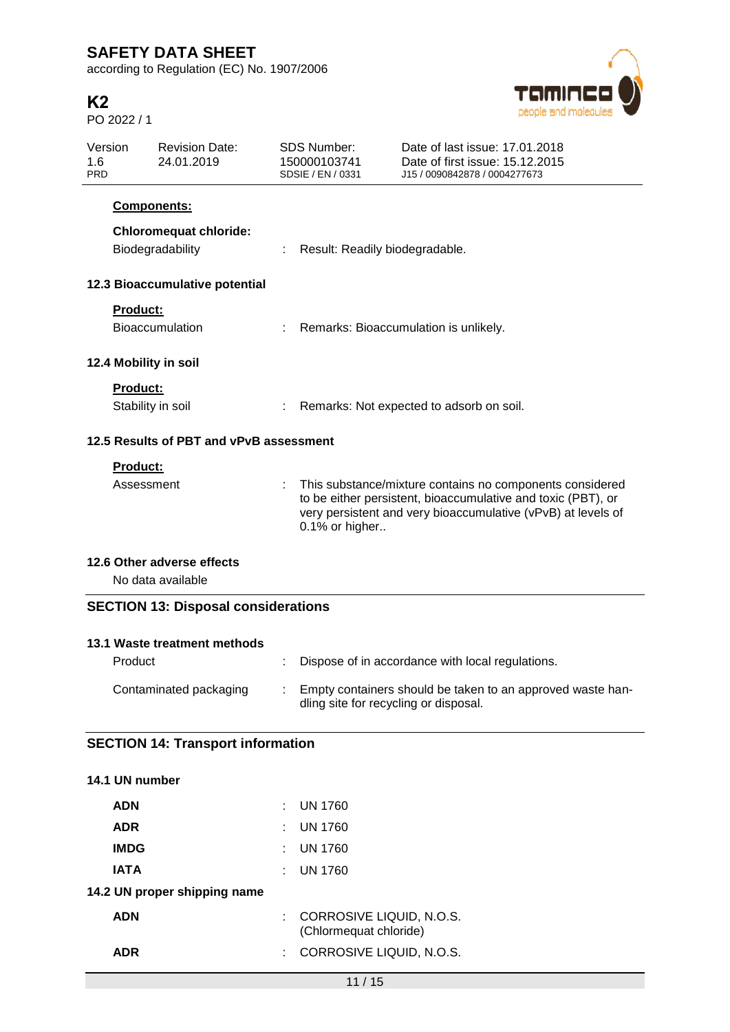according to Regulation (EC) No. 1907/2006

# **K2**

PO 2022 / 1



| Version<br>1.6<br><b>PRD</b>            |                   | <b>Revision Date:</b><br>24.01.2019               | <b>SDS Number:</b><br>150000103741<br>SDSIE / EN / 0331 | Date of last issue: 17.01.2018<br>Date of first issue: 15.12.2015<br>J15 / 0090842878 / 0004277673                                                                                       |  |  |
|-----------------------------------------|-------------------|---------------------------------------------------|---------------------------------------------------------|------------------------------------------------------------------------------------------------------------------------------------------------------------------------------------------|--|--|
|                                         |                   | Components:                                       |                                                         |                                                                                                                                                                                          |  |  |
|                                         |                   | <b>Chloromequat chloride:</b><br>Biodegradability | Result: Readily biodegradable.                          |                                                                                                                                                                                          |  |  |
|                                         |                   | 12.3 Bioaccumulative potential                    |                                                         |                                                                                                                                                                                          |  |  |
|                                         | Product:          | <b>Bioaccumulation</b>                            | Remarks: Bioaccumulation is unlikely.                   |                                                                                                                                                                                          |  |  |
|                                         |                   | 12.4 Mobility in soil                             |                                                         |                                                                                                                                                                                          |  |  |
|                                         | <b>Product:</b>   |                                                   |                                                         |                                                                                                                                                                                          |  |  |
|                                         | Stability in soil |                                                   | Remarks: Not expected to adsorb on soil.                |                                                                                                                                                                                          |  |  |
| 12.5 Results of PBT and vPvB assessment |                   |                                                   |                                                         |                                                                                                                                                                                          |  |  |
|                                         | Product:          |                                                   |                                                         |                                                                                                                                                                                          |  |  |
|                                         | Assessment        |                                                   | 0.1% or higher                                          | This substance/mixture contains no components considered<br>to be either persistent, bioaccumulative and toxic (PBT), or<br>very persistent and very bioaccumulative (vPvB) at levels of |  |  |
|                                         |                   | 12.6 Other adverse effects                        |                                                         |                                                                                                                                                                                          |  |  |
|                                         |                   | No data available                                 |                                                         |                                                                                                                                                                                          |  |  |
|                                         |                   | <b>SECTION 13: Disposal considerations</b>        |                                                         |                                                                                                                                                                                          |  |  |
|                                         |                   | 13.1 Waste treatment methods                      |                                                         |                                                                                                                                                                                          |  |  |
|                                         | Product           |                                                   |                                                         | Dispose of in accordance with local regulations.                                                                                                                                         |  |  |
|                                         |                   | Contaminated packaging                            | dling site for recycling or disposal.                   | Empty containers should be taken to an approved waste han-                                                                                                                               |  |  |
|                                         |                   | <b>SECTION 14: Transport information</b>          |                                                         |                                                                                                                                                                                          |  |  |

| 14.1 UN number               |    |                                                    |
|------------------------------|----|----------------------------------------------------|
| <b>ADN</b>                   |    | $\pm$ UN 1760                                      |
| <b>ADR</b>                   |    | $\pm$ UN 1760                                      |
| <b>IMDG</b>                  | t. | UN 1760                                            |
| <b>IATA</b>                  |    | $:$ UN 1760                                        |
| 14.2 UN proper shipping name |    |                                                    |
| <b>ADN</b>                   | t. | CORROSIVE LIQUID, N.O.S.<br>(Chlormequat chloride) |
| ADR                          | t. | CORROSIVE LIQUID, N.O.S.                           |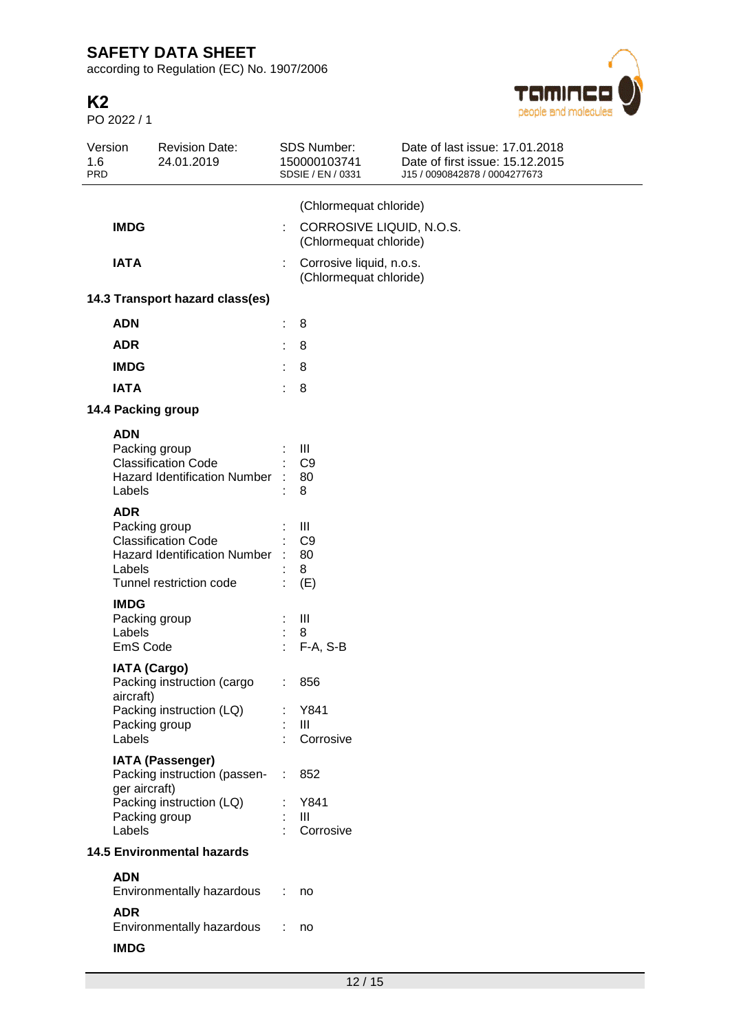according to Regulation (EC) No. 1907/2006

# **K2**

PO 2022 / 1



| 1.6<br><b>PRD</b>               | Version                                    | <b>Revision Date:</b><br>24.01.2019                                                                           |    | SDS Number:<br>150000103741<br>SDSIE / EN / 0331                                  | Date of last issue: 17.01.2018<br>Date of first issue: 15.12.2015<br>J15 / 0090842878 / 0004277673 |  |  |  |  |
|---------------------------------|--------------------------------------------|---------------------------------------------------------------------------------------------------------------|----|-----------------------------------------------------------------------------------|----------------------------------------------------------------------------------------------------|--|--|--|--|
|                                 | <b>IMDG</b>                                |                                                                                                               | ÷  | (Chlormequat chloride)<br>CORROSIVE LIQUID, N.O.S.                                |                                                                                                    |  |  |  |  |
|                                 | <b>IATA</b>                                |                                                                                                               |    | (Chlormequat chloride)<br>Corrosive liquid, n.o.s.<br>t<br>(Chlormequat chloride) |                                                                                                    |  |  |  |  |
| 14.3 Transport hazard class(es) |                                            |                                                                                                               |    |                                                                                   |                                                                                                    |  |  |  |  |
|                                 | <b>ADN</b>                                 |                                                                                                               |    | 8                                                                                 |                                                                                                    |  |  |  |  |
|                                 | <b>ADR</b>                                 |                                                                                                               |    | 8                                                                                 |                                                                                                    |  |  |  |  |
|                                 | <b>IMDG</b>                                |                                                                                                               |    | 8                                                                                 |                                                                                                    |  |  |  |  |
|                                 | <b>IATA</b>                                |                                                                                                               | t  | 8                                                                                 |                                                                                                    |  |  |  |  |
|                                 |                                            | 14.4 Packing group                                                                                            |    |                                                                                   |                                                                                                    |  |  |  |  |
|                                 | <b>ADN</b><br>Labels                       | Packing group<br><b>Classification Code</b><br><b>Hazard Identification Number</b>                            |    | Ш<br>C <sub>9</sub><br>80<br>8                                                    |                                                                                                    |  |  |  |  |
|                                 | <b>ADR</b><br>Labels                       | Packing group<br><b>Classification Code</b><br><b>Hazard Identification Number</b><br>Tunnel restriction code |    | Ш<br>C <sub>9</sub><br>80<br>8<br>(E)                                             |                                                                                                    |  |  |  |  |
|                                 | <b>IMDG</b><br>Labels<br>EmS Code          | Packing group                                                                                                 |    | Ш<br>8<br>$F-A, S-B$                                                              |                                                                                                    |  |  |  |  |
|                                 | <b>IATA (Cargo)</b><br>aircraft)<br>Labels | Packing instruction (cargo<br>Packing instruction (LQ)<br>Packing group                                       | t. | 856<br>Y841<br>Ш<br>Corrosive                                                     |                                                                                                    |  |  |  |  |
|                                 | ger aircraft)                              | <b>IATA (Passenger)</b><br>Packing instruction (passen-                                                       |    | 852                                                                               |                                                                                                    |  |  |  |  |
|                                 | Labels                                     | Packing instruction (LQ)<br>Packing group                                                                     |    | Y841<br>$\mathbf{III}$<br>Corrosive                                               |                                                                                                    |  |  |  |  |
|                                 | <b>14.5 Environmental hazards</b>          |                                                                                                               |    |                                                                                   |                                                                                                    |  |  |  |  |
|                                 | <b>ADN</b>                                 | Environmentally hazardous                                                                                     |    | no                                                                                |                                                                                                    |  |  |  |  |
|                                 | <b>ADR</b>                                 | Environmentally hazardous                                                                                     |    | no                                                                                |                                                                                                    |  |  |  |  |
|                                 | <b>IMDG</b>                                |                                                                                                               |    |                                                                                   |                                                                                                    |  |  |  |  |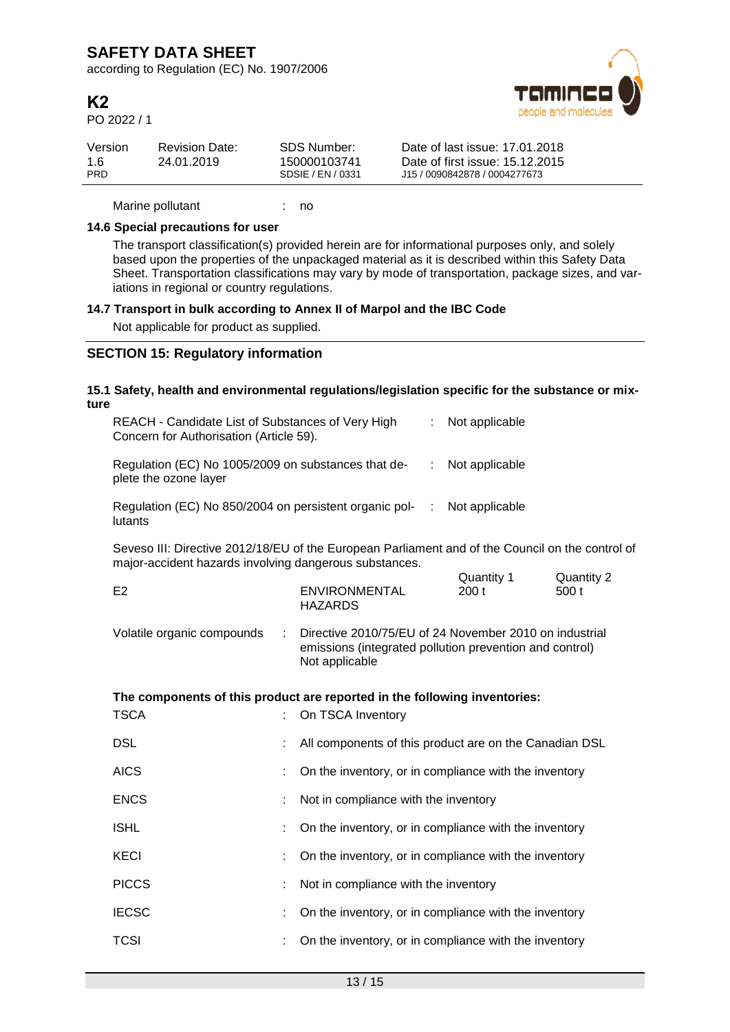according to Regulation (EC) No. 1907/2006

# **K2**

PO 2022 / 1



| Version    | <b>Revision Date:</b> | SDS Number:       | Date of last issue: 17.01.2018  |
|------------|-----------------------|-------------------|---------------------------------|
| 1.6        | 24.01.2019            | 150000103741      | Date of first issue: 15.12.2015 |
| <b>PRD</b> |                       | SDSIE / EN / 0331 | J15 / 0090842878 / 0004277673   |

Marine pollutant : no

### **14.6 Special precautions for user**

The transport classification(s) provided herein are for informational purposes only, and solely based upon the properties of the unpackaged material as it is described within this Safety Data Sheet. Transportation classifications may vary by mode of transportation, package sizes, and variations in regional or country regulations.

### **14.7 Transport in bulk according to Annex II of Marpol and the IBC Code**

Not applicable for product as supplied.

## **SECTION 15: Regulatory information**

| ture | 15.1 Safety, health and environmental regulations/legislation specific for the substance or mix-                                                           |                       |                                                                                                                                     |   |                    |                     |
|------|------------------------------------------------------------------------------------------------------------------------------------------------------------|-----------------------|-------------------------------------------------------------------------------------------------------------------------------------|---|--------------------|---------------------|
|      | REACH - Candidate List of Substances of Very High<br>Concern for Authorisation (Article 59).                                                               |                       |                                                                                                                                     | ÷ | Not applicable     |                     |
|      | Regulation (EC) No 1005/2009 on substances that de-<br>plete the ozone layer                                                                               |                       |                                                                                                                                     | ÷ | Not applicable     |                     |
|      | Regulation (EC) No 850/2004 on persistent organic pol-<br>lutants                                                                                          |                       |                                                                                                                                     | ÷ | Not applicable     |                     |
|      | Seveso III: Directive 2012/18/EU of the European Parliament and of the Council on the control of<br>major-accident hazards involving dangerous substances. |                       |                                                                                                                                     |   |                    |                     |
|      | E2                                                                                                                                                         |                       | <b>ENVIRONMENTAL</b><br><b>HAZARDS</b>                                                                                              |   | Quantity 1<br>200t | Quantity 2<br>500 t |
|      | Volatile organic compounds                                                                                                                                 | $\mathbb{C}^{\times}$ | Directive 2010/75/EU of 24 November 2010 on industrial<br>emissions (integrated pollution prevention and control)<br>Not applicable |   |                    |                     |
|      | The components of this product are reported in the following inventories:                                                                                  |                       |                                                                                                                                     |   |                    |                     |
|      | <b>TSCA</b>                                                                                                                                                |                       | On TSCA Inventory                                                                                                                   |   |                    |                     |
|      | <b>DSL</b>                                                                                                                                                 |                       | All components of this product are on the Canadian DSL                                                                              |   |                    |                     |
|      | <b>AICS</b>                                                                                                                                                |                       | On the inventory, or in compliance with the inventory                                                                               |   |                    |                     |
|      | <b>ENCS</b>                                                                                                                                                |                       | Not in compliance with the inventory                                                                                                |   |                    |                     |
|      | <b>ISHL</b>                                                                                                                                                |                       | On the inventory, or in compliance with the inventory                                                                               |   |                    |                     |
|      | <b>KECI</b>                                                                                                                                                | ÷                     | On the inventory, or in compliance with the inventory                                                                               |   |                    |                     |
|      | <b>PICCS</b>                                                                                                                                               | ÷                     | Not in compliance with the inventory                                                                                                |   |                    |                     |
|      | <b>IECSC</b>                                                                                                                                               | ÷                     | On the inventory, or in compliance with the inventory                                                                               |   |                    |                     |
|      | <b>TCSI</b>                                                                                                                                                |                       | On the inventory, or in compliance with the inventory                                                                               |   |                    |                     |
|      |                                                                                                                                                            |                       |                                                                                                                                     |   |                    |                     |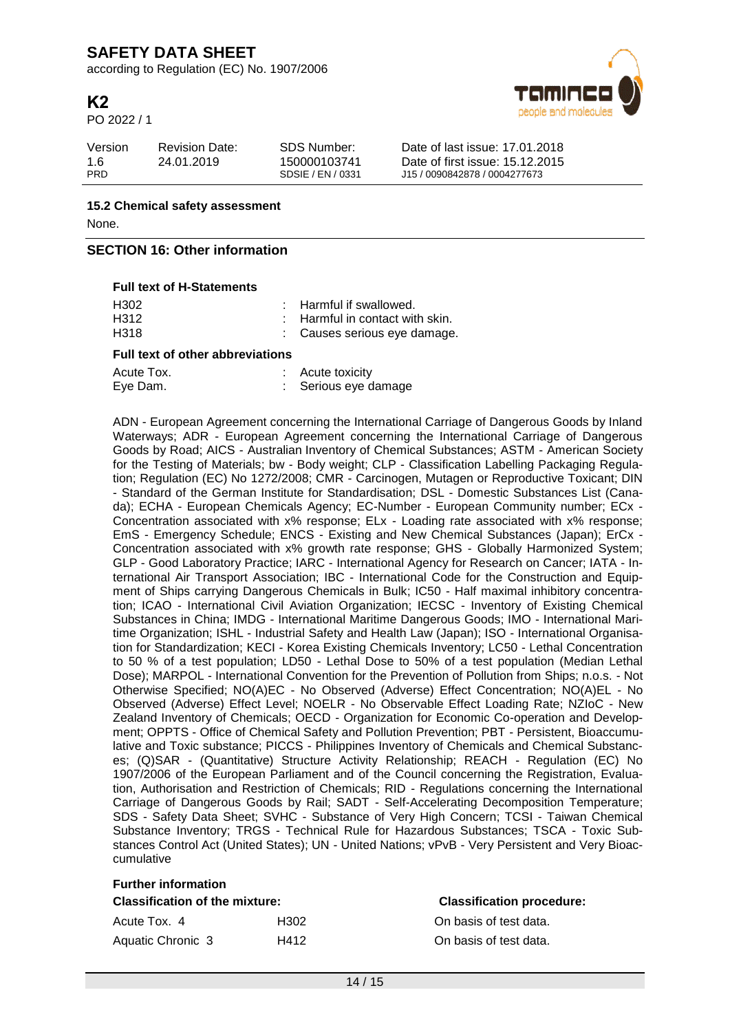according to Regulation (EC) No. 1907/2006

# **K2**

PO 2022 / 1



| Version    | <b>Revision Date:</b> | SDS Number:       | Date of last issue: 17.01.2018  |
|------------|-----------------------|-------------------|---------------------------------|
| 1.6        | 24.01.2019            | 150000103741      | Date of first issue: 15.12.2015 |
| <b>PRD</b> |                       | SDSIE / EN / 0331 | J15 / 0090842878 / 0004277673   |

**15.2 Chemical safety assessment** None.

## **SECTION 16: Other information**

### **Full text of H-Statements**

| <b>Full text of other abbreviations</b> |  |                                            |
|-----------------------------------------|--|--------------------------------------------|
| H318                                    |  | : Causes serious eye damage.               |
| H312                                    |  | $\therefore$ Harmful in contact with skin. |
| H302                                    |  | : Harmful if swallowed.                    |

| Acute Tox. | Acute toxicity       |
|------------|----------------------|
| Eye Dam.   | : Serious eye damage |

ADN - European Agreement concerning the International Carriage of Dangerous Goods by Inland Waterways; ADR - European Agreement concerning the International Carriage of Dangerous Goods by Road; AICS - Australian Inventory of Chemical Substances; ASTM - American Society for the Testing of Materials: bw - Body weight: CLP - Classification Labelling Packaging Regulation; Regulation (EC) No 1272/2008; CMR - Carcinogen, Mutagen or Reproductive Toxicant; DIN - Standard of the German Institute for Standardisation; DSL - Domestic Substances List (Canada); ECHA - European Chemicals Agency; EC-Number - European Community number; ECx - Concentration associated with x% response; ELx - Loading rate associated with x% response; EmS - Emergency Schedule; ENCS - Existing and New Chemical Substances (Japan); ErCx - Concentration associated with x% growth rate response; GHS - Globally Harmonized System; GLP - Good Laboratory Practice; IARC - International Agency for Research on Cancer; IATA - International Air Transport Association; IBC - International Code for the Construction and Equipment of Ships carrying Dangerous Chemicals in Bulk; IC50 - Half maximal inhibitory concentration; ICAO - International Civil Aviation Organization; IECSC - Inventory of Existing Chemical Substances in China; IMDG - International Maritime Dangerous Goods; IMO - International Maritime Organization; ISHL - Industrial Safety and Health Law (Japan); ISO - International Organisation for Standardization; KECI - Korea Existing Chemicals Inventory; LC50 - Lethal Concentration to 50 % of a test population; LD50 - Lethal Dose to 50% of a test population (Median Lethal Dose); MARPOL - International Convention for the Prevention of Pollution from Ships; n.o.s. - Not Otherwise Specified; NO(A)EC - No Observed (Adverse) Effect Concentration; NO(A)EL - No Observed (Adverse) Effect Level; NOELR - No Observable Effect Loading Rate; NZIoC - New Zealand Inventory of Chemicals; OECD - Organization for Economic Co-operation and Development; OPPTS - Office of Chemical Safety and Pollution Prevention; PBT - Persistent, Bioaccumulative and Toxic substance; PICCS - Philippines Inventory of Chemicals and Chemical Substances; (Q)SAR - (Quantitative) Structure Activity Relationship; REACH - Regulation (EC) No 1907/2006 of the European Parliament and of the Council concerning the Registration, Evaluation, Authorisation and Restriction of Chemicals; RID - Regulations concerning the International Carriage of Dangerous Goods by Rail; SADT - Self-Accelerating Decomposition Temperature; SDS - Safety Data Sheet; SVHC - Substance of Very High Concern; TCSI - Taiwan Chemical Substance Inventory; TRGS - Technical Rule for Hazardous Substances; TSCA - Toxic Substances Control Act (United States); UN - United Nations; vPvB - Very Persistent and Very Bioaccumulative

| <b>Further information</b>                                                |      |                        |  |  |  |  |
|---------------------------------------------------------------------------|------|------------------------|--|--|--|--|
| <b>Classification procedure:</b><br><b>Classification of the mixture:</b> |      |                        |  |  |  |  |
| Acute Tox. 4                                                              | H302 | On basis of test data. |  |  |  |  |
| Aquatic Chronic 3                                                         | H412 | On basis of test data. |  |  |  |  |